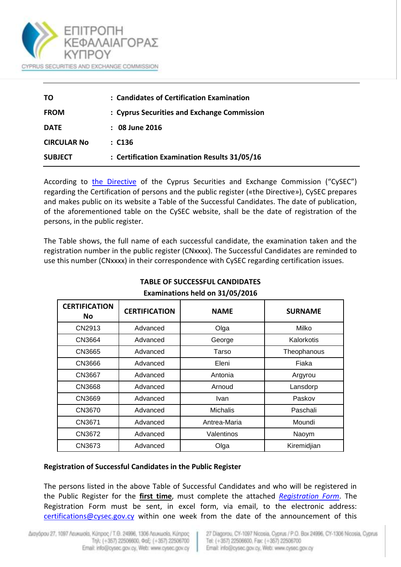

| TΟ                 | : Candidates of Certification Examination    |  |  |
|--------------------|----------------------------------------------|--|--|
| <b>FROM</b>        | : Cyprus Securities and Exchange Commission  |  |  |
| <b>DATE</b>        | $: 08$ June 2016                             |  |  |
| <b>CIRCULAR No</b> | : C136                                       |  |  |
| <b>SUBJECT</b>     | : Certification Examination Results 31/05/16 |  |  |

According to [the Directive](http://www.cysec.gov.cy/en-GB/public-info/certifications/Directives/) of the Cyprus Securities and Exchange Commission ("CySEC") regarding the Certification of persons and the public register («the Directive»), CySEC prepares and makes public on its website a Table of the Successful Candidates. The date of publication, of the aforementioned table on the CySEC website, shall be the date of registration of the persons, in the public register.

The Table shows, the full name of each successful candidate, the examination taken and the registration number in the public register (CNxxxx). The Successful Candidates are reminded to use this number (CNxxxx) in their correspondence with CySEC regarding certification issues.

| <b>CERTIFICATION</b><br>No. | <b>CERTIFICATION</b> | <b>NAME</b>  | <b>SURNAME</b> |
|-----------------------------|----------------------|--------------|----------------|
| CN2913                      | Advanced             | Olga         | Milko          |
| CN3664                      | Advanced             | George       | Kalorkotis     |
| CN3665                      | Advanced             | Tarso        | Theophanous    |
| CN3666                      | Advanced             | Eleni        | Fiaka          |
| CN3667                      | Advanced             | Antonia      | Argyrou        |
| <b>CN3668</b>               | Advanced             | Arnoud       | Lansdorp       |
| CN3669                      | Advanced             | Ivan         | Paskov         |
| CN3670                      | Advanced             | Michalis     | Paschali       |
| CN3671                      | Advanced             | Antrea-Maria | Moundi         |
| CN3672                      | Advanced             | Valentinos   | Naoym          |
| CN3673                      | Advanced             | Olga         | Kiremidjian    |

## **TABLE OF SUCCESSFUL CANDIDATES Examinations held on 31/05/2016**

## **Registration of Successful Candidates in the Public Register**

The persons listed in the above Table of Successful Candidates and who will be registered in the Public Register for the **first time**, must complete the attached *[Registration Form](http://www.cysec.gov.cy/en-GB/public-info/certifications/documents/)*. The Registration Form must be sent, in excel form, via email, to the electronic address: [certifications@cysec.gov.cy](mailto:certifications@cysec.gov.cy) within one week from the date of the announcement of this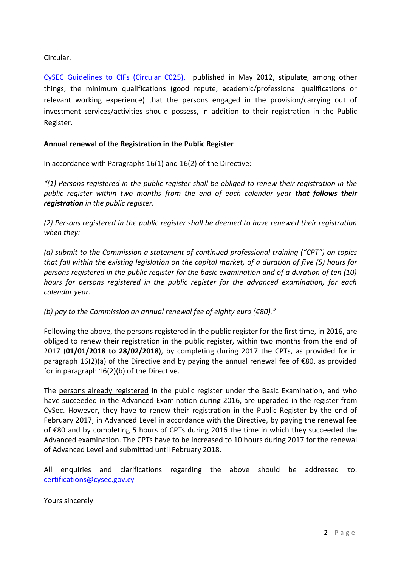Circular.

[CySEC Guidelines to CIFs \(Circular C025\),](http://www.cysec.gov.cy/CMSPages/GetFile.aspx?guid=48bc8f53-29cf-4e9b-b627-0ac4ac59419a) published in May 2012, stipulate, among other things, the minimum qualifications (good repute, academic/professional qualifications or relevant working experience) that the persons engaged in the provision/carrying out of investment services/activities should possess, in addition to their registration in the Public Register.

## **Annual renewal of the Registration in the Public Register**

In accordance with Paragraphs 16(1) and 16(2) of the Directive:

*"(1) Persons registered in the public register shall be obliged to renew their registration in the public register within two months from the end of each calendar year that follows their registration in the public register.*

*(2) Persons registered in the public register shall be deemed to have renewed their registration when they:*

*(a) submit to the Commission a statement of continued professional training ("CPT") on topics that fall within the existing legislation on the capital market, of a duration of five (5) hours for persons registered in the public register for the basic examination and of a duration of ten (10) hours for persons registered in the public register for the advanced examination, for each calendar year.*

*(b) pay to the Commission an annual renewal fee of eighty euro (€80)."*

Following the above, the persons registered in the public register for the first time, in 2016, are obliged to renew their registration in the public register, within two months from the end of 2017 (**01/01/2018 to 28/02/2018**), by completing during 2017 the CPTs, as provided for in paragraph 16(2)(a) of the Directive and by paying the annual renewal fee of €80, as provided for in paragraph 16(2)(b) of the Directive.

The persons already registered in the public register under the Basic Examination, and who have succeeded in the Advanced Examination during 2016, are upgraded in the register from CySec. However, they have to renew their registration in the Public Register by the end of February 2017, in Advanced Level in accordance with the Directive, by paying the renewal fee of €80 and by completing 5 hours of CPTs during 2016 the time in which they succeeded the Advanced examination. The CPTs have to be increased to 10 hours during 2017 for the renewal of Advanced Level and submitted until February 2018.

All enquiries and clarifications regarding the above should be addressed το: [certifications@cysec.gov.cy](mailto:certifications@cysec.gov.cy)

## Yours sincerely